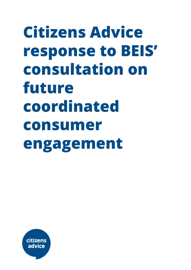**Citizens Advice response to BEIS' consultation on future coordinated consumer engagement**

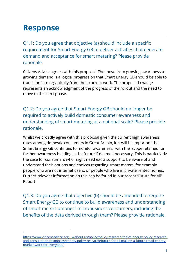# **Response**

1

Q1.1: Do you agree that objective (a) should include a specific requirement for Smart Energy GB to deliver activities that generate demand and acceptance for smart metering? Please provide rationale.

Citizens Advice agrees with this proposal. The move from growing awareness to growing demand is a logical progression that Smart Energy GB should be able to transition into organically from their current work. The proposed change represents an acknowledgment of the progress of the rollout and the need to move to this next phase.

Q1.2: Do you agree that Smart Energy GB should no longer be required to actively build domestic consumer awareness and understanding of smart metering at a national scale? Please provide rationale.

Whilst we broadly agree with this proposal given the current high awareness rates among domestic consumers in Great Britain, it is will be important that Smart Energy GB continues to monitor awareness, with the scope retained for further awareness building in the future if deemed necessary. This is particularly the case for consumers who might need extra support to be aware of and understand their options and choices regarding smart meters, for example people who are not internet users, or people who live in private rented homes. Further relevant information on this can be found in our recent 'Future for All'  $Report<sup>1</sup>$ 

Q1.3: Do you agree that objective (b) should be amended to require Smart Energy GB to continue to build awareness and understanding of smart meters amongst microbusiness consumers, including the benefits of the data derived through them? Please provide rationale.

[https://www.citizensadvice.org.uk/about-us/policy/policy-research-topics/energy-policy-research](https://www.citizensadvice.org.uk/about-us/policy/policy-research-topics/energy-policy-research-and-consultation-responses/energy-policy-research/future-for-all-making-a-future-retail-energy-market-work-for-everyone/)[and-consultation-responses/energy-policy-research/future-for-all-making-a-future-retail-energy](https://www.citizensadvice.org.uk/about-us/policy/policy-research-topics/energy-policy-research-and-consultation-responses/energy-policy-research/future-for-all-making-a-future-retail-energy-market-work-for-everyone/)[market-work-for-everyone/](https://www.citizensadvice.org.uk/about-us/policy/policy-research-topics/energy-policy-research-and-consultation-responses/energy-policy-research/future-for-all-making-a-future-retail-energy-market-work-for-everyone/)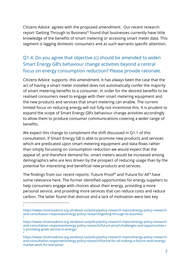Citizens Advice agrees with the proposed amendment. Our recent research report 'Getting Through to Business<sup>'2</sup> found that businesses currently have little knowledge of the benefits of smart metering or accessing smart meter data. This segment is lagging domestic consumers and as such warrants specific attention.

# Q1.4: Do you agree that objective (c) should be amended to widen Smart Energy GB's behaviour change activities beyond a central focus on energy consumption reduction? Please provide rationale.

Citizens Advice supports this amendment. It has always been the case that the act of having a smart meter installed does not automatically confer the majority of smart metering benefits to a consumer. In order for the desired benefits to be realised consumers need to engage with their smart metering equipment and the new products and services that smart metering can enable. The current limited focus on reducing energy will not fully not incentivise this. It is prudent to expand the scope of Smart Energy GB's behaviour change activities accordingly to allow them to produce consumer communications covering a wider range of benefits.

We expect this change to compliment the shift discussed in Q1.1 of this consultation. If Smart Energy GB is able to promote new products and services which are predicated upon smart metering equipment and data flows rather than simply focussing on consumption reduction we would expect that the appeal of, and therefore demand for, smart meters would be increased among demographics who are less driven by the prospect of reducing usage than by the potential for interesting and beneficial new products and services.

The findings from our recent reports: 'Future Proof<sup>3</sup>' and 'Future for All<sup>'4</sup> have some relevance here. The former identified opportunities for energy suppliers to help consumers engage with choices about their energy, providing a more personal service, and providing more services that can reduce costs and reduce carbon. The latter found that distrust and a lack of motivation were two key

2

https://www.citizensadvice.org.uk/about-us/policy/policy-research-topics/energy-policy-researchand-consultation-responses/energy-policy-research/getting-through-to-business 3

https://www.citizensadvice.org.uk/about-us/policy/policy-research-topics/energy-policy-researchand-consultation-responses/energy-policy-research/future-proof-challenges-and-opportunities-i n-providing-great-service-in-energy/ 4

https://www.citizensadvice.org.uk/about-us/policy/policy-research-topics/energy-policy-researchand-consultation-responses/energy-policy-research/future-for-all-making-a-future-retail-energymarket-work-for-everyone/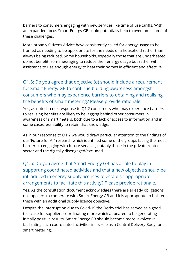barriers to consumers engaging with new services like time of use tariffs. With an expanded focus Smart Energy GB could potentially help to overcome some of these challenges.

More broadly Citizens Advice have consistently called for energy usage to be framed as needing to be appropriate for the needs of a household rather than always being reduced. Some households, especially those that are underheated, do not benefit from messaging to reduce their energy usage but rather with assistance to use enough energy to heat their homes in efficient and effective.

### Q1.5: Do you agree that objective (d) should include a requirement for Smart Energy GB to continue building awareness amongst consumers who may experience barriers to obtaining and realising the benefits of smart metering? Please provide rationale.

Yes, as noted in our response to Q1.2 consumers who may experience barriers to realising benefits are likely to be lagging behind other consumers in awareness of smart meters, both due to a lack of access to information and in some cases less ability to retain that knowledge.

As in our response to Q1.2 we would draw particular attention to the findings of our 'Future for All' research which identified some of the groups facing the most barriers to engaging with future services, notably those in the private-rented sector and the digitally disengaged/excluded.

# Q1.6: Do you agree that Smart Energy GB has a role to play in supporting coordinated activities and that a new objective should be introduced in energy supply licences to establish appropriate arrangements to facilitate this activity? Please provide rationale.

Yes. As the consultation document acknowledges there are already obligations on suppliers to cooperate with Smart Energy GB and it is appropriate to bolster these with an additional supply licence objective.

Despite the interruption due to Covid-19 the Derby trial has served as a good test case for suppliers coordinating more which appeared to be generating initially positive results. Smart Energy GB should become more involved in facilitating such coordinated activities in its role as a Central Delivery Body for smart metering.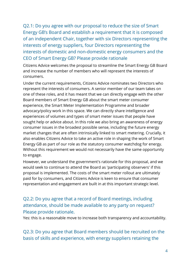Q2.1: Do you agree with our proposal to reduce the size of Smart Energy GB's Board and establish a requirement that it is composed of an independent Chair, together with six Directors representing the interests of energy suppliers, four Directors representing the interests of domestic and non-domestic energy consumers and the CEO of Smart Energy GB? Please provide rationale

Citizens Advice welcomes the proposal to streamline the Smart Energy GB Board and increase the number of members who will represent the interests of consumers.

Under the current requirements, Citizens Advice nominates two Directors who represent the interests of consumers. A senior member of our team takes on one of these roles, and it has meant that we can directly engage with the other Board members of Smart Energy GB about the smart meter consumer experience, the Smart Meter Implementation Programme and broader advocacy/policy work in this space. We can directly share intelligence and experiences of volumes and types of smart meter issues that people have sought help or advice about. In this role we also bring an awareness of energy consumer issues in the broadest possible sense, including the future energy market changes that are often intrinsically linked to smart metering. Crucially, it also enables Citizens Advice to take an active role in shaping the work of Smart Energy GB as part of our role as the statutory consumer watchdog for energy. Without this requirement we would not necessarily have the same opportunity to engage.

However, we understand the government's rationale for this proposal, and we would seek to continue to attend the Board as 'participating observers' if this proposal is implemented. The costs of the smart meter rollout are ultimately paid for by consumers, and Citizens Advice is keen to ensure that consumer representation and engagement are built in at this important strategic level.

#### Q2.2: Do you agree that a record of Board meetings, including attendance, should be made available to any party on request? Please provide rationale.

Yes: this is a reasonable move to increase both transparency and accountability.

Q2.3: Do you agree that Board members should be recruited on the basis of skills and experience, with energy suppliers retaining the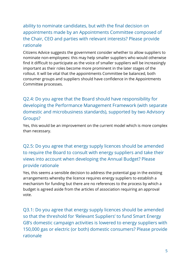ability to nominate candidates, but with the final decision on appointments made by an Appointments Committee composed of the Chair, CEO and parties with relevant interests? Please provide rationale

Citizens Advice suggests the government consider whether to allow suppliers to nominate non-employees: this may help smaller suppliers who would otherwise find it difficult to participate as the voice of smaller suppliers will be increasingly important as their roles become more prominent in the later stages of the rollout. It will be vital that the appointments Committee be balanced, both consumer groups and suppliers should have confidence in the Appointments Committee processes.

Q2.4: Do you agree that the Board should have responsibility for developing the Performance Management Framework (with separate domestic and microbusiness standards), supported by two Advisory Groups?

Yes, this would be an improvement on the current model which is more complex than necessary.

Q2.5: Do you agree that energy supply licences should be amended to require the Board to consult with energy suppliers and take their views into account when developing the Annual Budget? Please provide rationale

Yes, this seems a sensible decision to address the potential gap in the existing arrangements whereby the licence requires energy suppliers to establish a mechanism for funding but there are no references to the process by which a budget is agreed aside from the articles of association requiring an approval vote.

Q3.1: Do you agree that energy supply licences should be amended so that the threshold for 'Relevant Suppliers' to fund Smart Energy GB's domestic campaign activities is lowered to energy suppliers with 150,000 gas or electric (or both) domestic consumers? Please provide rationale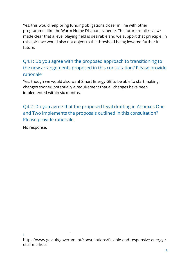Yes, this would help bring funding obligations closer in line with other programmes like the Warm Home Discount scheme. The future retail review<sup>5</sup> made clear that a level playing field is desirable and we support that principle. In this spirit we would also not object to the threshold being lowered further in future.

## Q4.1: Do you agree with the proposed approach to transitioning to the new arrangements proposed in this consultation? Please provide rationale

Yes, though we would also want Smart Energy GB to be able to start making changes sooner, potentially a requirement that all changes have been implemented within six months.

Q4.2: Do you agree that the proposed legal drafting in Annexes One and Two implements the proposals outlined in this consultation? Please provide rationale.

No response.

5

https://www.gov.uk/government/consultations/flexible-and-responsive-energy-r etail-markets